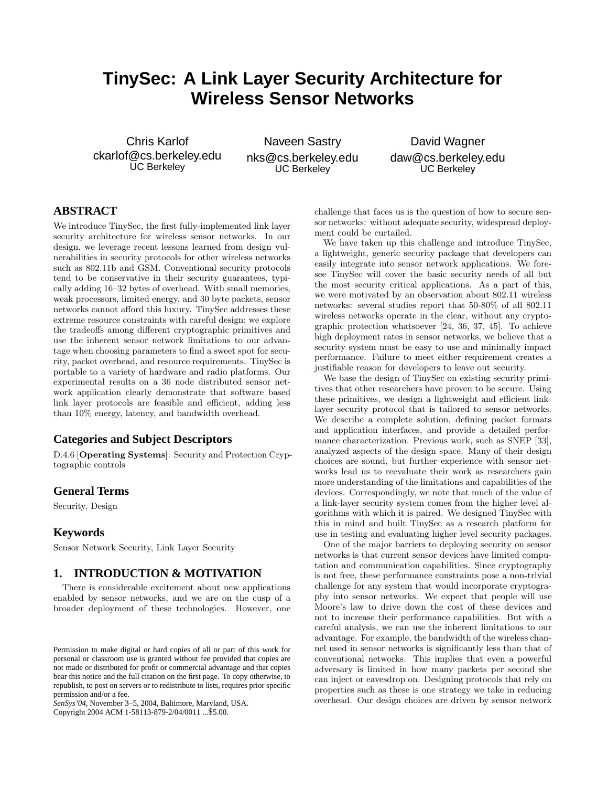# **TinySec: A Link Layer Security Architecture for Wireless Sensor Networks**

Chris Karlof ckarlof@cs.berkeley.edu UC Berkeley

Naveen Sastry nks@cs.berkeley.edu UC Berkeley

David Wagner daw@cs.berkeley.edu UC Berkeley

# **ABSTRACT**

We introduce TinySec, the first fully-implemented link layer security architecture for wireless sensor networks. In our design, we leverage recent lessons learned from design vulnerabilities in security protocols for other wireless networks such as 802.11b and GSM. Conventional security protocols tend to be conservative in their security guarantees, typically adding 16–32 bytes of overhead. With small memories, weak processors, limited energy, and 30 byte packets, sensor networks cannot afford this luxury. TinySec addresses these extreme resource constraints with careful design; we explore the tradeoffs among different cryptographic primitives and use the inherent sensor network limitations to our advantage when choosing parameters to find a sweet spot for security, packet overhead, and resource requirements. TinySec is portable to a variety of hardware and radio platforms. Our experimental results on a 36 node distributed sensor network application clearly demonstrate that software based link layer protocols are feasible and efficient, adding less than 10% energy, latency, and bandwidth overhead.

# **Categories and Subject Descriptors**

D.4.6 [Operating Systems]: Security and Protection Cryptographic controls

# **General Terms**

Security, Design

# **Keywords**

Sensor Network Security, Link Layer Security

# **1. INTRODUCTION & MOTIVATION**

There is considerable excitement about new applications enabled by sensor networks, and we are on the cusp of a broader deployment of these technologies. However, one

*SenSys'04,* November 3–5, 2004, Baltimore, Maryland, USA. Copyright 2004 ACM 1-58113-879-2/04/0011 ...\$5.00.

challenge that faces us is the question of how to secure sensor networks: without adequate security, widespread deployment could be curtailed.

We have taken up this challenge and introduce TinySec, a lightweight, generic security package that developers can easily integrate into sensor network applications. We foresee TinySec will cover the basic security needs of all but the most security critical applications. As a part of this, we were motivated by an observation about 802.11 wireless networks: several studies report that 50-80% of all 802.11 wireless networks operate in the clear, without any cryptographic protection whatsoever [24, 36, 37, 45]. To achieve high deployment rates in sensor networks, we believe that a security system must be easy to use and minimally impact performance. Failure to meet either requirement creates a justifiable reason for developers to leave out security.

We base the design of TinySec on existing security primitives that other researchers have proven to be secure. Using these primitives, we design a lightweight and efficient linklayer security protocol that is tailored to sensor networks. We describe a complete solution, defining packet formats and application interfaces, and provide a detailed performance characterization. Previous work, such as SNEP [33], analyzed aspects of the design space. Many of their design choices are sound, but further experience with sensor networks lead us to reevaluate their work as researchers gain more understanding of the limitations and capabilities of the devices. Correspondingly, we note that much of the value of a link-layer security system comes from the higher level algorithms with which it is paired. We designed TinySec with this in mind and built TinySec as a research platform for use in testing and evaluating higher level security packages.

One of the major barriers to deploying security on sensor networks is that current sensor devices have limited computation and communication capabilities. Since cryptography is not free, these performance constraints pose a non-trivial challenge for any system that would incorporate cryptography into sensor networks. We expect that people will use Moore's law to drive down the cost of these devices and not to increase their performance capabilities. But with a careful analysis, we can use the inherent limitations to our advantage. For example, the bandwidth of the wireless channel used in sensor networks is significantly less than that of conventional networks. This implies that even a powerful adversary is limited in how many packets per second she can inject or eavesdrop on. Designing protocols that rely on properties such as these is one strategy we take in reducing overhead. Our design choices are driven by sensor network

Permission to make digital or hard copies of all or part of this work for personal or classroom use is granted without fee provided that copies are not made or distributed for profit or commercial advantage and that copies bear this notice and the full citation on the first page. To copy otherwise, to republish, to post on servers or to redistribute to lists, requires prior specific permission and/or a fee.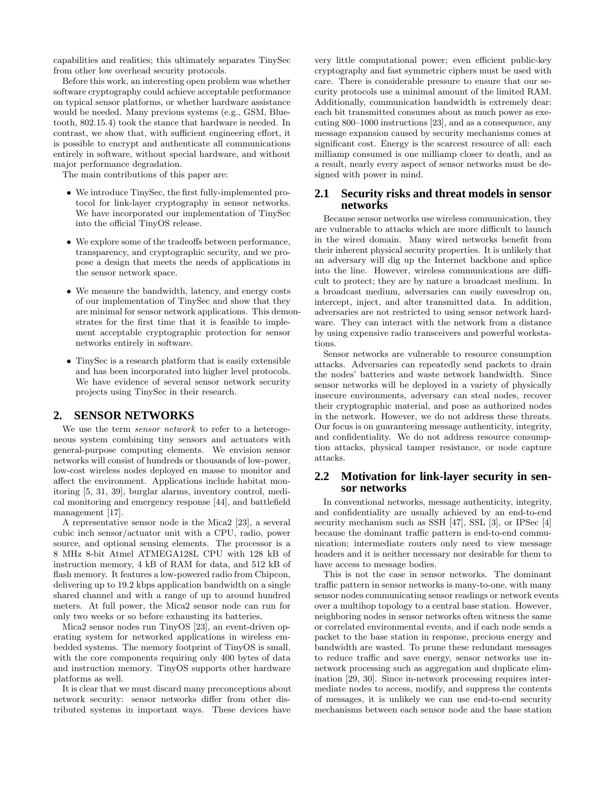capabilities and realities; this ultimately separates TinySec from other low overhead security protocols.

Before this work, an interesting open problem was whether software cryptography could achieve acceptable performance on typical sensor platforms, or whether hardware assistance would be needed. Many previous systems (e.g., GSM, Bluetooth, 802.15.4) took the stance that hardware is needed. In contrast, we show that, with sufficient engineering effort, it is possible to encrypt and authenticate all communications entirely in software, without special hardware, and without major performance degradation.

The main contributions of this paper are:

- We introduce TinySec, the first fully-implemented protocol for link-layer cryptography in sensor networks. We have incorporated our implementation of TinySec into the official TinyOS release.
- We explore some of the tradeoffs between performance, transparency, and cryptographic security, and we propose a design that meets the needs of applications in the sensor network space.
- We measure the bandwidth, latency, and energy costs of our implementation of TinySec and show that they are minimal for sensor network applications. This demonstrates for the first time that it is feasible to implement acceptable cryptographic protection for sensor networks entirely in software.
- TinySec is a research platform that is easily extensible and has been incorporated into higher level protocols. We have evidence of several sensor network security projects using TinySec in their research.

# **2. SENSOR NETWORKS**

We use the term *sensor network* to refer to a heterogeneous system combining tiny sensors and actuators with general-purpose computing elements. We envision sensor networks will consist of hundreds or thousands of low-power, low-cost wireless nodes deployed en masse to monitor and affect the environment. Applications include habitat monitoring [5, 31, 39], burglar alarms, inventory control, medical monitoring and emergency response [44], and battlefield management [17].

A representative sensor node is the Mica2 [23], a several cubic inch sensor/actuator unit with a CPU, radio, power source, and optional sensing elements. The processor is a 8 MHz 8-bit Atmel ATMEGA128L CPU with 128 kB of instruction memory, 4 kB of RAM for data, and 512 kB of flash memory. It features a low-powered radio from Chipcon, delivering up to 19.2 kbps application bandwidth on a single shared channel and with a range of up to around hundred meters. At full power, the Mica2 sensor node can run for only two weeks or so before exhausting its batteries.

Mica2 sensor nodes run TinyOS [23], an event-driven operating system for networked applications in wireless embedded systems. The memory footprint of TinyOS is small, with the core components requiring only 400 bytes of data and instruction memory. TinyOS supports other hardware platforms as well.

It is clear that we must discard many preconceptions about network security: sensor networks differ from other distributed systems in important ways. These devices have

very little computational power; even efficient public-key cryptography and fast symmetric ciphers must be used with care. There is considerable pressure to ensure that our security protocols use a minimal amount of the limited RAM. Additionally, communication bandwidth is extremely dear: each bit transmitted consumes about as much power as executing 800–1000 instructions [23], and as a consequence, any message expansion caused by security mechanisms comes at significant cost. Energy is the scarcest resource of all: each milliamp consumed is one milliamp closer to death, and as a result, nearly every aspect of sensor networks must be designed with power in mind.

#### **2.1 Security risks and threat models in sensor networks**

Because sensor networks use wireless communication, they are vulnerable to attacks which are more difficult to launch in the wired domain. Many wired networks benefit from their inherent physical security properties. It is unlikely that an adversary will dig up the Internet backbone and splice into the line. However, wireless communications are difficult to protect; they are by nature a broadcast medium. In a broadcast medium, adversaries can easily eavesdrop on, intercept, inject, and alter transmitted data. In addition, adversaries are not restricted to using sensor network hardware. They can interact with the network from a distance by using expensive radio transceivers and powerful workstations.

Sensor networks are vulnerable to resource consumption attacks. Adversaries can repeatedly send packets to drain the nodes' batteries and waste network bandwidth. Since sensor networks will be deployed in a variety of physically insecure environments, adversary can steal nodes, recover their cryptographic material, and pose as authorized nodes in the network. However, we do not address these threats. Our focus is on guaranteeing message authenticity, integrity, and confidentiality. We do not address resource consumption attacks, physical tamper resistance, or node capture attacks.

### **2.2 Motivation for link-layer security in sensor networks**

In conventional networks, message authenticity, integrity, and confidentiality are usually achieved by an end-to-end security mechanism such as SSH [47], SSL [3], or IPSec [4] because the dominant traffic pattern is end-to-end communication; intermediate routers only need to view message headers and it is neither necessary nor desirable for them to have access to message bodies.

This is not the case in sensor networks. The dominant traffic pattern in sensor networks is many-to-one, with many sensor nodes communicating sensor readings or network events over a multihop topology to a central base station. However, neighboring nodes in sensor networks often witness the same or correlated environmental events, and if each node sends a packet to the base station in response, precious energy and bandwidth are wasted. To prune these redundant messages to reduce traffic and save energy, sensor networks use innetwork processing such as aggregation and duplicate elimination [29, 30]. Since in-network processing requires intermediate nodes to access, modify, and suppress the contents of messages, it is unlikely we can use end-to-end security mechanisms between each sensor node and the base station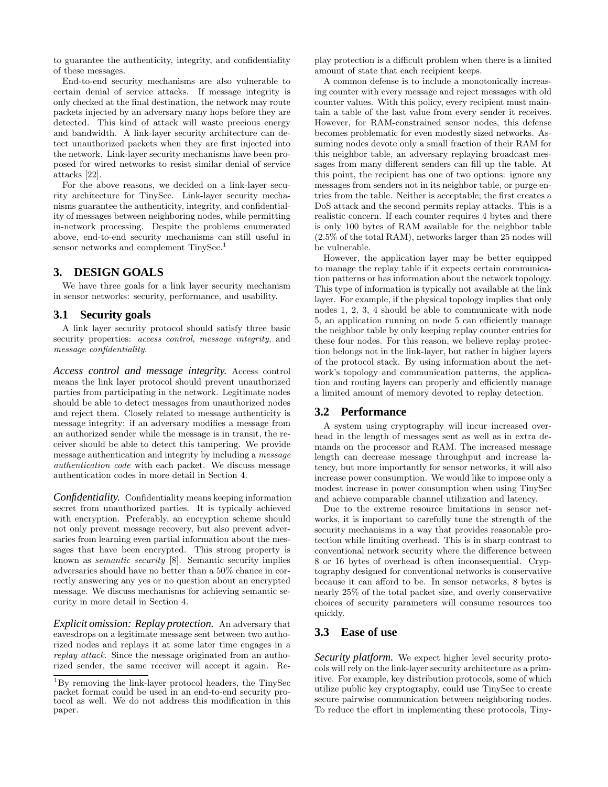to guarantee the authenticity, integrity, and confidentiality of these messages.

End-to-end security mechanisms are also vulnerable to certain denial of service attacks. If message integrity is only checked at the final destination, the network may route packets injected by an adversary many hops before they are detected. This kind of attack will waste precious energy and bandwidth. A link-layer security architecture can detect unauthorized packets when they are first injected into the network. Link-layer security mechanisms have been proposed for wired networks to resist similar denial of service attacks [22].

For the above reasons, we decided on a link-layer security architecture for TinySec. Link-layer security mechanisms guarantee the authenticity, integrity, and confidentiality of messages between neighboring nodes, while permitting in-network processing. Despite the problems enumerated above, end-to-end security mechanisms can still useful in sensor networks and complement TinySec.<sup>1</sup>

### **3. DESIGN GOALS**

We have three goals for a link layer security mechanism in sensor networks: security, performance, and usability.

#### **3.1 Security goals**

A link layer security protocol should satisfy three basic security properties: *access control, message integrity*, and message confidentiality.

*Access control and message integrity.* Access control means the link layer protocol should prevent unauthorized parties from participating in the network. Legitimate nodes should be able to detect messages from unauthorized nodes and reject them. Closely related to message authenticity is message integrity: if an adversary modifies a message from an authorized sender while the message is in transit, the receiver should be able to detect this tampering. We provide message authentication and integrity by including a message authentication code with each packet. We discuss message authentication codes in more detail in Section 4.

*Confidentiality.* Confidentiality means keeping information secret from unauthorized parties. It is typically achieved with encryption. Preferably, an encryption scheme should not only prevent message recovery, but also prevent adversaries from learning even partial information about the messages that have been encrypted. This strong property is known as semantic security [8]. Semantic security implies adversaries should have no better than a 50% chance in correctly answering any yes or no question about an encrypted message. We discuss mechanisms for achieving semantic security in more detail in Section 4.

*Explicit omission: Replay protection.* An adversary that eavesdrops on a legitimate message sent between two authorized nodes and replays it at some later time engages in a replay attack. Since the message originated from an authorized sender, the same receiver will accept it again. Replay protection is a difficult problem when there is a limited amount of state that each recipient keeps.

A common defense is to include a monotonically increasing counter with every message and reject messages with old counter values. With this policy, every recipient must maintain a table of the last value from every sender it receives. However, for RAM-constrained sensor nodes, this defense becomes problematic for even modestly sized networks. Assuming nodes devote only a small fraction of their RAM for this neighbor table, an adversary replaying broadcast messages from many different senders can fill up the table. At this point, the recipient has one of two options: ignore any messages from senders not in its neighbor table, or purge entries from the table. Neither is acceptable; the first creates a DoS attack and the second permits replay attacks. This is a realistic concern. If each counter requires 4 bytes and there is only 100 bytes of RAM available for the neighbor table (2.5% of the total RAM), networks larger than 25 nodes will be vulnerable.

However, the application layer may be better equipped to manage the replay table if it expects certain communication patterns or has information about the network topology. This type of information is typically not available at the link layer. For example, if the physical topology implies that only nodes 1, 2, 3, 4 should be able to communicate with node 5, an application running on node 5 can efficiently manage the neighbor table by only keeping replay counter entries for these four nodes. For this reason, we believe replay protection belongs not in the link-layer, but rather in higher layers of the protocol stack. By using information about the network's topology and communication patterns, the application and routing layers can properly and efficiently manage a limited amount of memory devoted to replay detection.

#### **3.2 Performance**

A system using cryptography will incur increased overhead in the length of messages sent as well as in extra demands on the processor and RAM. The increased message length can decrease message throughput and increase latency, but more importantly for sensor networks, it will also increase power consumption. We would like to impose only a modest increase in power consumption when using TinySec and achieve comparable channel utilization and latency.

Due to the extreme resource limitations in sensor networks, it is important to carefully tune the strength of the security mechanisms in a way that provides reasonable protection while limiting overhead. This is in sharp contrast to conventional network security where the difference between 8 or 16 bytes of overhead is often inconsequential. Cryptography designed for conventional networks is conservative because it can afford to be. In sensor networks, 8 bytes is nearly 25% of the total packet size, and overly conservative choices of security parameters will consume resources too quickly.

# **3.3 Ease of use**

*Security platform.* We expect higher level security protocols will rely on the link-layer security architecture as a primitive. For example, key distribution protocols, some of which utilize public key cryptography, could use TinySec to create secure pairwise communication between neighboring nodes. To reduce the effort in implementing these protocols, Tiny-

 $^1\mathrm{By}$  removing the link-layer protocol headers, the TinySec packet format could be used in an end-to-end security protocol as well. We do not address this modification in this paper.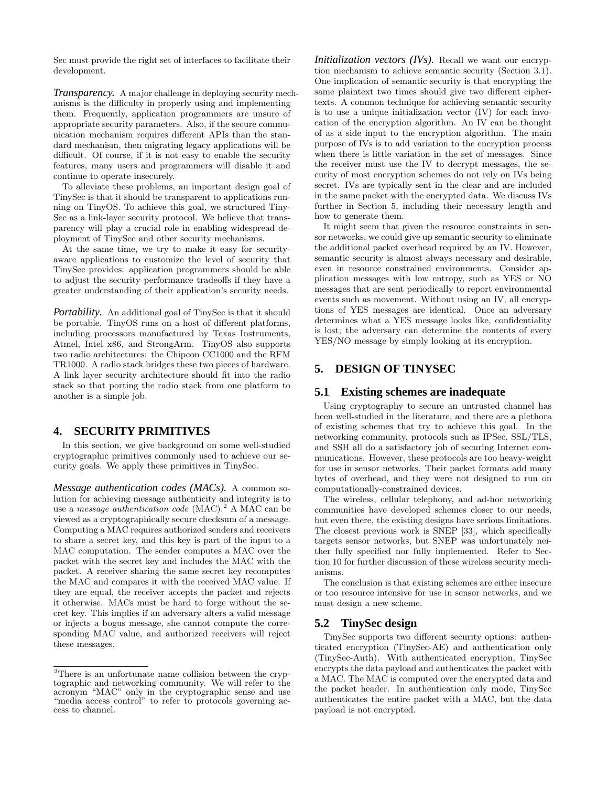Sec must provide the right set of interfaces to facilitate their development.

*Transparency.* A major challenge in deploying security mechanisms is the difficulty in properly using and implementing them. Frequently, application programmers are unsure of appropriate security parameters. Also, if the secure communication mechanism requires different APIs than the standard mechanism, then migrating legacy applications will be difficult. Of course, if it is not easy to enable the security features, many users and programmers will disable it and continue to operate insecurely.

To alleviate these problems, an important design goal of TinySec is that it should be transparent to applications running on TinyOS. To achieve this goal, we structured Tiny-Sec as a link-layer security protocol. We believe that transparency will play a crucial role in enabling widespread deployment of TinySec and other security mechanisms.

At the same time, we try to make it easy for securityaware applications to customize the level of security that TinySec provides: application programmers should be able to adjust the security performance tradeoffs if they have a greater understanding of their application's security needs.

*Portability.* An additional goal of TinySec is that it should be portable. TinyOS runs on a host of different platforms, including processors manufactured by Texas Instruments, Atmel, Intel x86, and StrongArm. TinyOS also supports two radio architectures: the Chipcon CC1000 and the RFM TR1000. A radio stack bridges these two pieces of hardware. A link layer security architecture should fit into the radio stack so that porting the radio stack from one platform to another is a simple job.

# **4. SECURITY PRIMITIVES**

In this section, we give background on some well-studied cryptographic primitives commonly used to achieve our security goals. We apply these primitives in TinySec.

*Message authentication codes (MACs).* A common solution for achieving message authenticity and integrity is to use a *message authentication code* (MAC).<sup>2</sup> A MAC can be viewed as a cryptographically secure checksum of a message. Computing a MAC requires authorized senders and receivers to share a secret key, and this key is part of the input to a MAC computation. The sender computes a MAC over the packet with the secret key and includes the MAC with the packet. A receiver sharing the same secret key recomputes the MAC and compares it with the received MAC value. If they are equal, the receiver accepts the packet and rejects it otherwise. MACs must be hard to forge without the secret key. This implies if an adversary alters a valid message or injects a bogus message, she cannot compute the corresponding MAC value, and authorized receivers will reject these messages.

*Initialization vectors (IVs).* Recall we want our encryption mechanism to achieve semantic security (Section 3.1). One implication of semantic security is that encrypting the same plaintext two times should give two different ciphertexts. A common technique for achieving semantic security is to use a unique initialization vector (IV) for each invocation of the encryption algorithm. An IV can be thought of as a side input to the encryption algorithm. The main purpose of IVs is to add variation to the encryption process when there is little variation in the set of messages. Since the receiver must use the IV to decrypt messages, the security of most encryption schemes do not rely on IVs being secret. IVs are typically sent in the clear and are included in the same packet with the encrypted data. We discuss IVs further in Section 5, including their necessary length and how to generate them.

It might seem that given the resource constraints in sensor networks, we could give up semantic security to eliminate the additional packet overhead required by an IV. However, semantic security is almost always necessary and desirable, even in resource constrained environments. Consider application messages with low entropy, such as YES or NO messages that are sent periodically to report environmental events such as movement. Without using an IV, all encryptions of YES messages are identical. Once an adversary determines what a YES message looks like, confidentiality is lost; the adversary can determine the contents of every YES/NO message by simply looking at its encryption.

# **5. DESIGN OF TINYSEC**

#### **5.1 Existing schemes are inadequate**

Using cryptography to secure an untrusted channel has been well-studied in the literature, and there are a plethora of existing schemes that try to achieve this goal. In the networking community, protocols such as IPSec, SSL/TLS, and SSH all do a satisfactory job of securing Internet communications. However, these protocols are too heavy-weight for use in sensor networks. Their packet formats add many bytes of overhead, and they were not designed to run on computationally-constrained devices.

The wireless, cellular telephony, and ad-hoc networking communities have developed schemes closer to our needs, but even there, the existing designs have serious limitations. The closest previous work is SNEP [33], which specifically targets sensor networks, but SNEP was unfortunately neither fully specified nor fully implemented. Refer to Section 10 for further discussion of these wireless security mechanisms.

The conclusion is that existing schemes are either insecure or too resource intensive for use in sensor networks, and we must design a new scheme.

### **5.2 TinySec design**

TinySec supports two different security options: authenticated encryption (TinySec-AE) and authentication only (TinySec-Auth). With authenticated encryption, TinySec encrypts the data payload and authenticates the packet with a MAC. The MAC is computed over the encrypted data and the packet header. In authentication only mode, TinySec authenticates the entire packet with a MAC, but the data payload is not encrypted.

<sup>2</sup>There is an unfortunate name collision between the cryptographic and networking community. We will refer to the acronym "MAC" only in the cryptographic sense and use "media access control" to refer to protocols governing access to channel.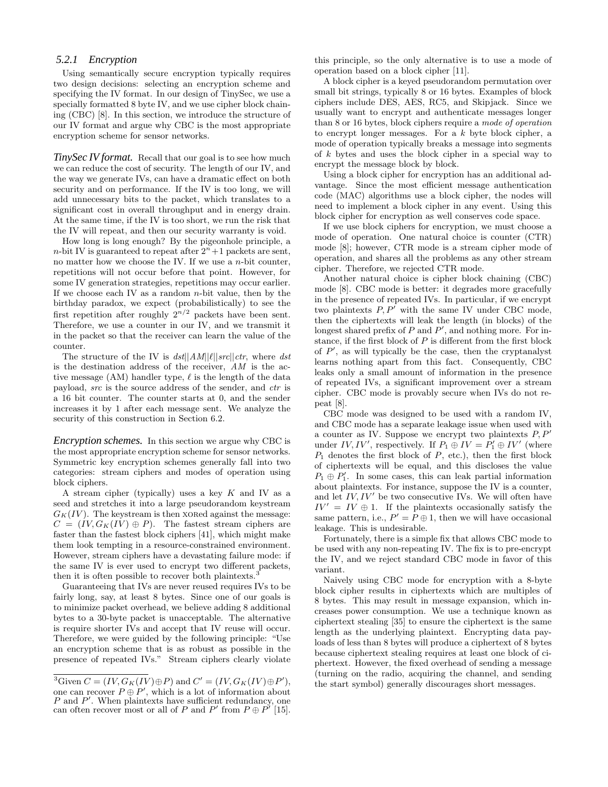#### *5.2.1 Encryption*

Using semantically secure encryption typically requires two design decisions: selecting an encryption scheme and specifying the IV format. In our design of TinySec, we use a specially formatted 8 byte IV, and we use cipher block chaining (CBC) [8]. In this section, we introduce the structure of our IV format and argue why CBC is the most appropriate encryption scheme for sensor networks.

*TinySec IV format.* Recall that our goal is to see how much we can reduce the cost of security. The length of our IV, and the way we generate IVs, can have a dramatic effect on both security and on performance. If the IV is too long, we will add unnecessary bits to the packet, which translates to a significant cost in overall throughput and in energy drain. At the same time, if the IV is too short, we run the risk that the IV will repeat, and then our security warranty is void.

How long is long enough? By the pigeonhole principle, a *n*-bit IV is guaranteed to repeat after  $2^n + 1$  packets are sent, no matter how we choose the IV. If we use a  $n$ -bit counter, repetitions will not occur before that point. However, for some IV generation strategies, repetitions may occur earlier. If we choose each IV as a random  $n$ -bit value, then by the birthday paradox, we expect (probabilistically) to see the first repetition after roughly  $2^{n/2}$  packets have been sent. Therefore, we use a counter in our IV, and we transmit it in the packet so that the receiver can learn the value of the counter.

The structure of the IV is  $dst||AM||\ell||src||ctr$ , where dst is the destination address of the receiver,  $AM$  is the active message (AM) handler type,  $\ell$  is the length of the data payload, src is the source address of the sender, and ctr is a 16 bit counter. The counter starts at 0, and the sender increases it by 1 after each message sent. We analyze the security of this construction in Section 6.2.

*Encryption schemes.* In this section we argue why CBC is the most appropriate encryption scheme for sensor networks. Symmetric key encryption schemes generally fall into two categories: stream ciphers and modes of operation using block ciphers.

A stream cipher (typically) uses a key  $K$  and IV as a seed and stretches it into a large pseudorandom keystream  $G_K(IV)$ . The keystream is then xored against the message:  $C = (IV, G_K(IV) \oplus P)$ . The fastest stream ciphers are faster than the fastest block ciphers [41], which might make them look tempting in a resource-constrained environment. However, stream ciphers have a devastating failure mode: if the same IV is ever used to encrypt two different packets, then it is often possible to recover both plaintexts. $\frac{3}{2}$ 

Guaranteeing that IVs are never reused requires IVs to be fairly long, say, at least 8 bytes. Since one of our goals is to minimize packet overhead, we believe adding 8 additional bytes to a 30-byte packet is unacceptable. The alternative is require shorter IVs and accept that IV reuse will occur. Therefore, we were guided by the following principle: "Use an encryption scheme that is as robust as possible in the presence of repeated IVs." Stream ciphers clearly violate this principle, so the only alternative is to use a mode of operation based on a block cipher [11].

A block cipher is a keyed pseudorandom permutation over small bit strings, typically 8 or 16 bytes. Examples of block ciphers include DES, AES, RC5, and Skipjack. Since we usually want to encrypt and authenticate messages longer than 8 or 16 bytes, block ciphers require a mode of operation to encrypt longer messages. For a k byte block cipher, a mode of operation typically breaks a message into segments of k bytes and uses the block cipher in a special way to encrypt the message block by block.

Using a block cipher for encryption has an additional advantage. Since the most efficient message authentication code (MAC) algorithms use a block cipher, the nodes will need to implement a block cipher in any event. Using this block cipher for encryption as well conserves code space.

If we use block ciphers for encryption, we must choose a mode of operation. One natural choice is counter (CTR) mode [8]; however, CTR mode is a stream cipher mode of operation, and shares all the problems as any other stream cipher. Therefore, we rejected CTR mode.

Another natural choice is cipher block chaining (CBC) mode [8]. CBC mode is better: it degrades more gracefully in the presence of repeated IVs. In particular, if we encrypt two plaintexts  $P, P'$  with the same IV under CBC mode, then the ciphertexts will leak the length (in blocks) of the longest shared prefix of  $P$  and  $P'$ , and nothing more. For instance, if the first block of  $P$  is different from the first block of  $P'$ , as will typically be the case, then the cryptanalyst learns nothing apart from this fact. Consequently, CBC leaks only a small amount of information in the presence of repeated IVs, a significant improvement over a stream cipher. CBC mode is provably secure when IVs do not repeat [8].

CBC mode was designed to be used with a random IV, and CBC mode has a separate leakage issue when used with a counter as IV. Suppose we encrypt two plaintexts  $P, P'$ under  $IV, IV'$ , respectively. If  $P_1 \oplus IV = P'_1 \oplus IV'$  (where  $P_1$  denotes the first block of  $P$ , etc.), then the first block of ciphertexts will be equal, and this discloses the value  $P_1 \oplus P'_1$ . In some cases, this can leak partial information about plaintexts. For instance, suppose the IV is a counter, and let  $IV, IV'$  be two consecutive IVs. We will often have  $IV' = IV \oplus 1$ . If the plaintexts occasionally satisfy the same pattern, i.e.,  $P' = \overline{P} \oplus 1$ , then we will have occasional leakage. This is undesirable.

Fortunately, there is a simple fix that allows CBC mode to be used with any non-repeating IV. The fix is to pre-encrypt the IV, and we reject standard CBC mode in favor of this variant.

Naively using CBC mode for encryption with a 8-byte block cipher results in ciphertexts which are multiples of 8 bytes. This may result in message expansion, which increases power consumption. We use a technique known as ciphertext stealing [35] to ensure the ciphertext is the same length as the underlying plaintext. Encrypting data payloads of less than 8 bytes will produce a ciphertext of 8 bytes because ciphertext stealing requires at least one block of ciphertext. However, the fixed overhead of sending a message (turning on the radio, acquiring the channel, and sending the start symbol) generally discourages short messages.

<sup>&</sup>lt;sup>3</sup>Given  $C = (IV, G_K(IV) \oplus P)$  and  $C' = (IV, G_K(IV) \oplus P')$ , one can recover  $P \oplus P'$ , which is a lot of information about  $P$  and  $P'$ . When plaintexts have sufficient redundancy, one can often recover most or all of P and  $P'$  from  $P \oplus P'$  [15].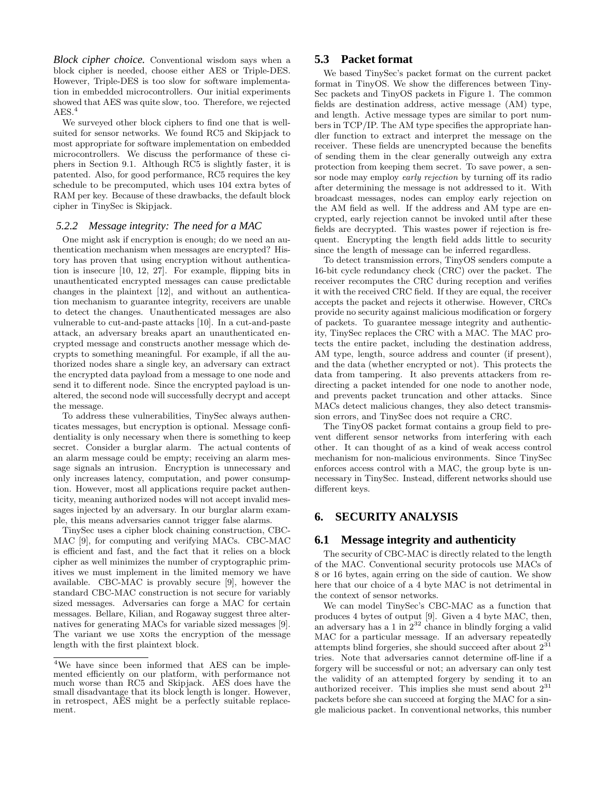*Block cipher choice.* Conventional wisdom says when a block cipher is needed, choose either AES or Triple-DES. However, Triple-DES is too slow for software implementation in embedded microcontrollers. Our initial experiments showed that AES was quite slow, too. Therefore, we rejected  $AES.<sup>4</sup>$ 

We surveyed other block ciphers to find one that is wellsuited for sensor networks. We found RC5 and Skipjack to most appropriate for software implementation on embedded microcontrollers. We discuss the performance of these ciphers in Section 9.1. Although RC5 is slightly faster, it is patented. Also, for good performance, RC5 requires the key schedule to be precomputed, which uses 104 extra bytes of RAM per key. Because of these drawbacks, the default block cipher in TinySec is Skipjack.

#### *5.2.2 Message integrity: The need for a MAC*

One might ask if encryption is enough; do we need an authentication mechanism when messages are encrypted? History has proven that using encryption without authentication is insecure [10, 12, 27]. For example, flipping bits in unauthenticated encrypted messages can cause predictable changes in the plaintext [12], and without an authentication mechanism to guarantee integrity, receivers are unable to detect the changes. Unauthenticated messages are also vulnerable to cut-and-paste attacks [10]. In a cut-and-paste attack, an adversary breaks apart an unauthenticated encrypted message and constructs another message which decrypts to something meaningful. For example, if all the authorized nodes share a single key, an adversary can extract the encrypted data payload from a message to one node and send it to different node. Since the encrypted payload is unaltered, the second node will successfully decrypt and accept the message.

To address these vulnerabilities, TinySec always authenticates messages, but encryption is optional. Message confidentiality is only necessary when there is something to keep secret. Consider a burglar alarm. The actual contents of an alarm message could be empty; receiving an alarm message signals an intrusion. Encryption is unnecessary and only increases latency, computation, and power consumption. However, most all applications require packet authenticity, meaning authorized nodes will not accept invalid messages injected by an adversary. In our burglar alarm example, this means adversaries cannot trigger false alarms.

TinySec uses a cipher block chaining construction, CBC-MAC [9], for computing and verifying MACs. CBC-MAC is efficient and fast, and the fact that it relies on a block cipher as well minimizes the number of cryptographic primitives we must implement in the limited memory we have available. CBC-MAC is provably secure [9], however the standard CBC-MAC construction is not secure for variably sized messages. Adversaries can forge a MAC for certain messages. Bellare, Kilian, and Rogaway suggest three alternatives for generating MACs for variable sized messages [9]. The variant we use XORs the encryption of the message length with the first plaintext block.

# **5.3 Packet format**

We based TinySec's packet format on the current packet format in TinyOS. We show the differences between Tiny-Sec packets and TinyOS packets in Figure 1. The common fields are destination address, active message (AM) type, and length. Active message types are similar to port numbers in TCP/IP. The AM type specifies the appropriate handler function to extract and interpret the message on the receiver. These fields are unencrypted because the benefits of sending them in the clear generally outweigh any extra protection from keeping them secret. To save power, a sensor node may employ early rejection by turning off its radio after determining the message is not addressed to it. With broadcast messages, nodes can employ early rejection on the AM field as well. If the address and AM type are encrypted, early rejection cannot be invoked until after these fields are decrypted. This wastes power if rejection is frequent. Encrypting the length field adds little to security since the length of message can be inferred regardless.

To detect transmission errors, TinyOS senders compute a 16-bit cycle redundancy check (CRC) over the packet. The receiver recomputes the CRC during reception and verifies it with the received CRC field. If they are equal, the receiver accepts the packet and rejects it otherwise. However, CRCs provide no security against malicious modification or forgery of packets. To guarantee message integrity and authenticity, TinySec replaces the CRC with a MAC. The MAC protects the entire packet, including the destination address, AM type, length, source address and counter (if present), and the data (whether encrypted or not). This protects the data from tampering. It also prevents attackers from redirecting a packet intended for one node to another node, and prevents packet truncation and other attacks. Since MACs detect malicious changes, they also detect transmission errors, and TinySec does not require a CRC.

The TinyOS packet format contains a group field to prevent different sensor networks from interfering with each other. It can thought of as a kind of weak access control mechanism for non-malicious environments. Since TinySec enforces access control with a MAC, the group byte is unnecessary in TinySec. Instead, different networks should use different keys.

#### **6. SECURITY ANALYSIS**

#### **6.1 Message integrity and authenticity**

The security of CBC-MAC is directly related to the length of the MAC. Conventional security protocols use MACs of 8 or 16 bytes, again erring on the side of caution. We show here that our choice of a 4 byte MAC is not detrimental in the context of sensor networks.

We can model TinySec's CBC-MAC as a function that produces 4 bytes of output [9]. Given a 4 byte MAC, then, an adversary has a 1 in  $2^{32}$  chance in blindly forging a valid MAC for a particular message. If an adversary repeatedly attempts blind forgeries, she should succeed after about  $2^{31}$ tries. Note that adversaries cannot determine off-line if a forgery will be successful or not; an adversary can only test the validity of an attempted forgery by sending it to an authorized receiver. This implies she must send about  $2^{31}$ packets before she can succeed at forging the MAC for a single malicious packet. In conventional networks, this number

<sup>4</sup>We have since been informed that AES can be implemented efficiently on our platform, with performance not much worse than RC5 and Skipjack. AES does have the small disadvantage that its block length is longer. However, in retrospect, AES might be a perfectly suitable replacement.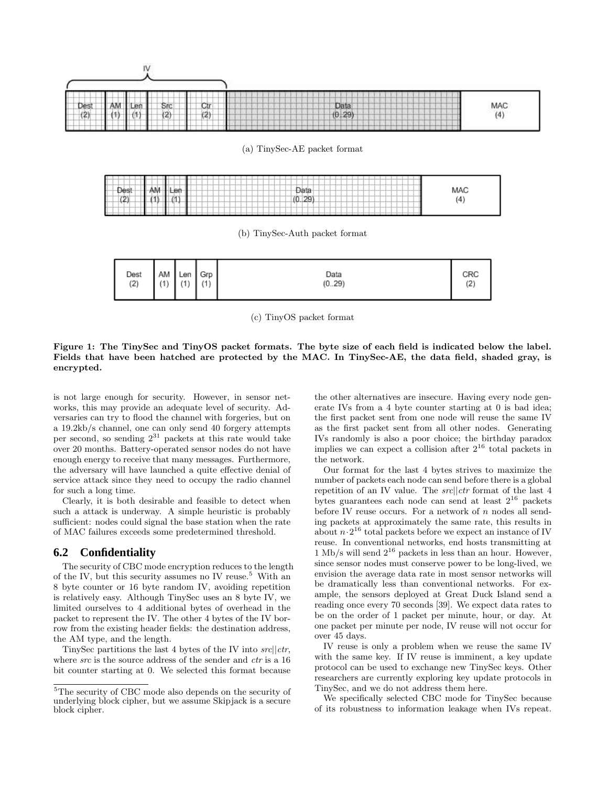

(a) TinySec-AE packet format

|     |   | Нат                        | MAC                            |
|-----|---|----------------------------|--------------------------------|
| . . | . | <b>TACLA</b><br>72<br>w.c. | $\left( \underline{A} \right)$ |
|     |   |                            |                                |

(b) TinySec-Auth packet format

| Dest<br>(2) | (1) | 64.5 | AM Len Grp<br>(1) | Data<br>(029) | CRC<br>(2) |
|-------------|-----|------|-------------------|---------------|------------|
|-------------|-----|------|-------------------|---------------|------------|

(c) TinyOS packet format

#### Figure 1: The TinySec and TinyOS packet formats. The byte size of each field is indicated below the label. Fields that have been hatched are protected by the MAC. In TinySec-AE, the data field, shaded gray, is encrypted.

is not large enough for security. However, in sensor networks, this may provide an adequate level of security. Adversaries can try to flood the channel with forgeries, but on a 19.2kb/s channel, one can only send 40 forgery attempts per second, so sending 2 <sup>31</sup> packets at this rate would take over 20 months. Battery-operated sensor nodes do not have enough energy to receive that many messages. Furthermore, the adversary will have launched a quite effective denial of service attack since they need to occupy the radio channel for such a long time.

Clearly, it is both desirable and feasible to detect when such a attack is underway. A simple heuristic is probably sufficient: nodes could signal the base station when the rate of MAC failures exceeds some predetermined threshold.

## **6.2 Confidentiality**

The security of CBC mode encryption reduces to the length of the IV, but this security assumes no IV reuse.<sup>5</sup> With an 8 byte counter or 16 byte random IV, avoiding repetition is relatively easy. Although TinySec uses an 8 byte IV, we limited ourselves to 4 additional bytes of overhead in the packet to represent the IV. The other 4 bytes of the IV borrow from the existing header fields: the destination address, the AM type, and the length.

TinySec partitions the last 4 bytes of the IV into  $src||ctr$ , where  $src$  is the source address of the sender and  $ctr$  is a 16 bit counter starting at 0. We selected this format because the other alternatives are insecure. Having every node generate IVs from a 4 byte counter starting at 0 is bad idea; the first packet sent from one node will reuse the same IV as the first packet sent from all other nodes. Generating IVs randomly is also a poor choice; the birthday paradox implies we can expect a collision after  $2^{16}$  total packets in the network.

Our format for the last 4 bytes strives to maximize the number of packets each node can send before there is a global repetition of an IV value. The  $src||ctr$  format of the last 4 bytes guarantees each node can send at least  $2^{16}$  packets before IV reuse occurs. For a network of  $n$  nodes all sending packets at approximately the same rate, this results in about  $n \cdot 2^{16}$  total packets before we expect an instance of IV reuse. In conventional networks, end hosts transmitting at  $1 \text{ Mb/s}$  will send  $2^{16}$  packets in less than an hour. However, since sensor nodes must conserve power to be long-lived, we envision the average data rate in most sensor networks will be dramatically less than conventional networks. For example, the sensors deployed at Great Duck Island send a reading once every 70 seconds [39]. We expect data rates to be on the order of 1 packet per minute, hour, or day. At one packet per minute per node, IV reuse will not occur for over 45 days.

IV reuse is only a problem when we reuse the same IV with the same key. If IV reuse is imminent, a key update protocol can be used to exchange new TinySec keys. Other researchers are currently exploring key update protocols in TinySec, and we do not address them here.

We specifically selected CBC mode for TinySec because of its robustness to information leakage when IVs repeat.

 ${\rm ^5The}$  security of CBC mode also depends on the security of underlying block cipher, but we assume Skipjack is a secure block cipher.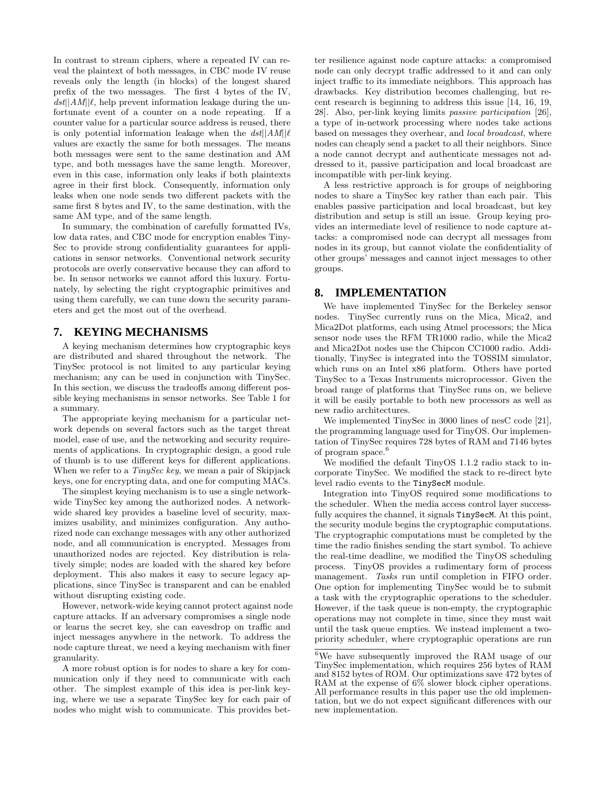In contrast to stream ciphers, where a repeated IV can reveal the plaintext of both messages, in CBC mode IV reuse reveals only the length (in blocks) of the longest shared prefix of the two messages. The first 4 bytes of the IV,  $dst||AM||\ell$ , help prevent information leakage during the unfortunate event of a counter on a node repeating. If a counter value for a particular source address is reused, there is only potential information leakage when the  $dst||AM||\ell$ values are exactly the same for both messages. The means both messages were sent to the same destination and AM type, and both messages have the same length. Moreover, even in this case, information only leaks if both plaintexts agree in their first block. Consequently, information only leaks when one node sends two different packets with the same first 8 bytes and IV, to the same destination, with the same AM type, and of the same length.

In summary, the combination of carefully formatted IVs, low data rates, and CBC mode for encryption enables Tiny-Sec to provide strong confidentiality guarantees for applications in sensor networks. Conventional network security protocols are overly conservative because they can afford to be. In sensor networks we cannot afford this luxury. Fortunately, by selecting the right cryptographic primitives and using them carefully, we can tune down the security parameters and get the most out of the overhead.

### **7. KEYING MECHANISMS**

A keying mechanism determines how cryptographic keys are distributed and shared throughout the network. The TinySec protocol is not limited to any particular keying mechanism; any can be used in conjunction with TinySec. In this section, we discuss the tradeoffs among different possible keying mechanisms in sensor networks. See Table 1 for a summary.

The appropriate keying mechanism for a particular network depends on several factors such as the target threat model, ease of use, and the networking and security requirements of applications. In cryptographic design, a good rule of thumb is to use different keys for different applications. When we refer to a *TinySec key*, we mean a pair of Skipjack keys, one for encrypting data, and one for computing MACs.

The simplest keying mechanism is to use a single networkwide TinySec key among the authorized nodes. A networkwide shared key provides a baseline level of security, maximizes usability, and minimizes configuration. Any authorized node can exchange messages with any other authorized node, and all communication is encrypted. Messages from unauthorized nodes are rejected. Key distribution is relatively simple; nodes are loaded with the shared key before deployment. This also makes it easy to secure legacy applications, since TinySec is transparent and can be enabled without disrupting existing code.

However, network-wide keying cannot protect against node capture attacks. If an adversary compromises a single node or learns the secret key, she can eavesdrop on traffic and inject messages anywhere in the network. To address the node capture threat, we need a keying mechanism with finer granularity.

A more robust option is for nodes to share a key for communication only if they need to communicate with each other. The simplest example of this idea is per-link keying, where we use a separate TinySec key for each pair of nodes who might wish to communicate. This provides better resilience against node capture attacks: a compromised node can only decrypt traffic addressed to it and can only inject traffic to its immediate neighbors. This approach has drawbacks. Key distribution becomes challenging, but recent research is beginning to address this issue [14, 16, 19, 28]. Also, per-link keying limits passive participation [26], a type of in-network processing where nodes take actions based on messages they overhear, and local broadcast, where nodes can cheaply send a packet to all their neighbors. Since a node cannot decrypt and authenticate messages not addressed to it, passive participation and local broadcast are incompatible with per-link keying.

A less restrictive approach is for groups of neighboring nodes to share a TinySec key rather than each pair. This enables passive participation and local broadcast, but key distribution and setup is still an issue. Group keying provides an intermediate level of resilience to node capture attacks: a compromised node can decrypt all messages from nodes in its group, but cannot violate the confidentiality of other groups' messages and cannot inject messages to other groups.

# **8. IMPLEMENTATION**

We have implemented TinySec for the Berkeley sensor nodes. TinySec currently runs on the Mica, Mica2, and Mica2Dot platforms, each using Atmel processors; the Mica sensor node uses the RFM TR1000 radio, while the Mica2 and Mica2Dot nodes use the Chipcon CC1000 radio. Additionally, TinySec is integrated into the TOSSIM simulator, which runs on an Intel x86 platform. Others have ported TinySec to a Texas Instruments microprocessor. Given the broad range of platforms that TinySec runs on, we believe it will be easily portable to both new processors as well as new radio architectures.

We implemented TinySec in 3000 lines of nesC code [21], the programming language used for TinyOS. Our implementation of TinySec requires 728 bytes of RAM and 7146 bytes of program space.

We modified the default TinyOS 1.1.2 radio stack to incorporate TinySec. We modified the stack to re-direct byte level radio events to the TinySecM module.

Integration into TinyOS required some modifications to the scheduler. When the media access control layer successfully acquires the channel, it signals  $T$ inySecM. At this point, the security module begins the cryptographic computations. The cryptographic computations must be completed by the time the radio finishes sending the start symbol. To achieve the real-time deadline, we modified the TinyOS scheduling process. TinyOS provides a rudimentary form of process management. Tasks run until completion in FIFO order. One option for implementing TinySec would be to submit a task with the cryptographic operations to the scheduler. However, if the task queue is non-empty, the cryptographic operations may not complete in time, since they must wait until the task queue empties. We instead implement a twopriority scheduler, where cryptographic operations are run

<sup>6</sup>We have subsequently improved the RAM usage of our TinySec implementation, which requires 256 bytes of RAM and 8152 bytes of ROM. Our optimizations save 472 bytes of RAM at the expense of  $6\%$  slower block cipher operations. All performance results in this paper use the old implementation, but we do not expect significant differences with our new implementation.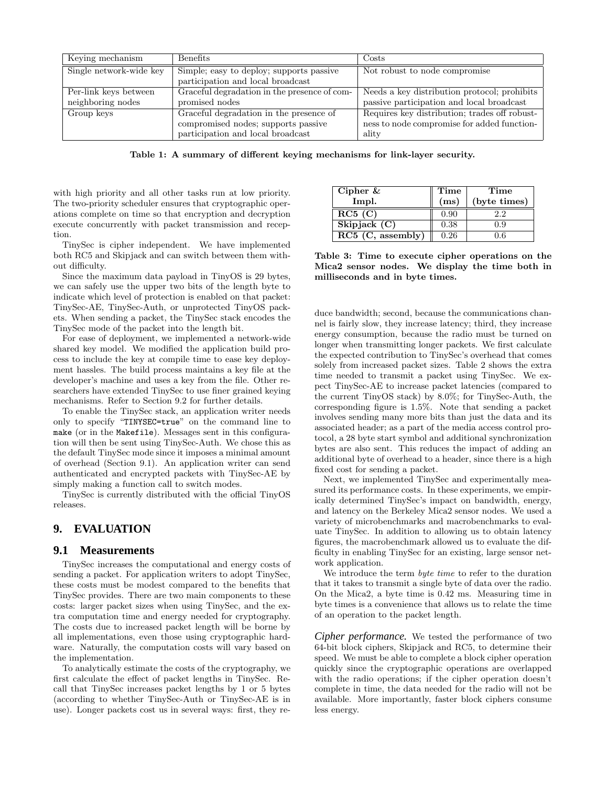| Keying mechanism        | <b>Benefits</b>                              | Costs                                         |  |
|-------------------------|----------------------------------------------|-----------------------------------------------|--|
| Single network-wide key | Simple; easy to deploy; supports passive     | Not robust to node compromise                 |  |
|                         | participation and local broadcast            |                                               |  |
| Per-link keys between   | Graceful degradation in the presence of com- | Needs a key distribution protocol; prohibits  |  |
| neighboring nodes       | promised nodes                               | passive participation and local broadcast     |  |
| Group keys              | Graceful degradation in the presence of      | Requires key distribution; trades off robust- |  |
|                         | compromised nodes; supports passive          | ness to node compromise for added function-   |  |
|                         | participation and local broadcast            | ality                                         |  |

Table 1: A summary of different keying mechanisms for link-layer security.

with high priority and all other tasks run at low priority. The two-priority scheduler ensures that cryptographic operations complete on time so that encryption and decryption execute concurrently with packet transmission and reception.

TinySec is cipher independent. We have implemented both RC5 and Skipjack and can switch between them without difficulty.

Since the maximum data payload in TinyOS is 29 bytes, we can safely use the upper two bits of the length byte to indicate which level of protection is enabled on that packet: TinySec-AE, TinySec-Auth, or unprotected TinyOS packets. When sending a packet, the TinySec stack encodes the TinySec mode of the packet into the length bit.

For ease of deployment, we implemented a network-wide shared key model. We modified the application build process to include the key at compile time to ease key deployment hassles. The build process maintains a key file at the developer's machine and uses a key from the file. Other researchers have extended TinySec to use finer grained keying mechanisms. Refer to Section 9.2 for further details.

To enable the TinySec stack, an application writer needs only to specify "TINYSEC=true" on the command line to make (or in the Makefile). Messages sent in this configuration will then be sent using TinySec-Auth. We chose this as the default TinySec mode since it imposes a minimal amount of overhead (Section 9.1). An application writer can send authenticated and encrypted packets with TinySec-AE by simply making a function call to switch modes.

TinySec is currently distributed with the official TinyOS releases.

# **9. EVALUATION**

### **9.1 Measurements**

TinySec increases the computational and energy costs of sending a packet. For application writers to adopt TinySec, these costs must be modest compared to the benefits that TinySec provides. There are two main components to these costs: larger packet sizes when using TinySec, and the extra computation time and energy needed for cryptography. The costs due to increased packet length will be borne by all implementations, even those using cryptographic hardware. Naturally, the computation costs will vary based on the implementation.

To analytically estimate the costs of the cryptography, we first calculate the effect of packet lengths in TinySec. Recall that TinySec increases packet lengths by 1 or 5 bytes (according to whether TinySec-Auth or TinySec-AE is in use). Longer packets cost us in several ways: first, they re-

| Cipher $\&$                      | Time | Time         |
|----------------------------------|------|--------------|
| Impl.                            | (ms) | (byte times) |
| RC5(C)                           | 0.90 | 22           |
| $\overline{\text{Skipjack}}$ (C) | 0.38 | 0.9          |
| $RC5$ (C, assembly)              | 0.26 | Ი.6          |

Table 3: Time to execute cipher operations on the Mica2 sensor nodes. We display the time both in milliseconds and in byte times.

duce bandwidth; second, because the communications channel is fairly slow, they increase latency; third, they increase energy consumption, because the radio must be turned on longer when transmitting longer packets. We first calculate the expected contribution to TinySec's overhead that comes solely from increased packet sizes. Table 2 shows the extra time needed to transmit a packet using TinySec. We expect TinySec-AE to increase packet latencies (compared to the current TinyOS stack) by 8.0%; for TinySec-Auth, the corresponding figure is 1.5%. Note that sending a packet involves sending many more bits than just the data and its associated header; as a part of the media access control protocol, a 28 byte start symbol and additional synchronization bytes are also sent. This reduces the impact of adding an additional byte of overhead to a header, since there is a high fixed cost for sending a packet.

Next, we implemented TinySec and experimentally measured its performance costs. In these experiments, we empirically determined TinySec's impact on bandwidth, energy, and latency on the Berkeley Mica2 sensor nodes. We used a variety of microbenchmarks and macrobenchmarks to evaluate TinySec. In addition to allowing us to obtain latency figures, the macrobenchmark allowed us to evaluate the difficulty in enabling TinySec for an existing, large sensor network application.

We introduce the term *byte time* to refer to the duration that it takes to transmit a single byte of data over the radio. On the Mica2, a byte time is 0.42 ms. Measuring time in byte times is a convenience that allows us to relate the time of an operation to the packet length.

*Cipher performance.* We tested the performance of two 64-bit block ciphers, Skipjack and RC5, to determine their speed. We must be able to complete a block cipher operation quickly since the cryptographic operations are overlapped with the radio operations; if the cipher operation doesn't complete in time, the data needed for the radio will not be available. More importantly, faster block ciphers consume less energy.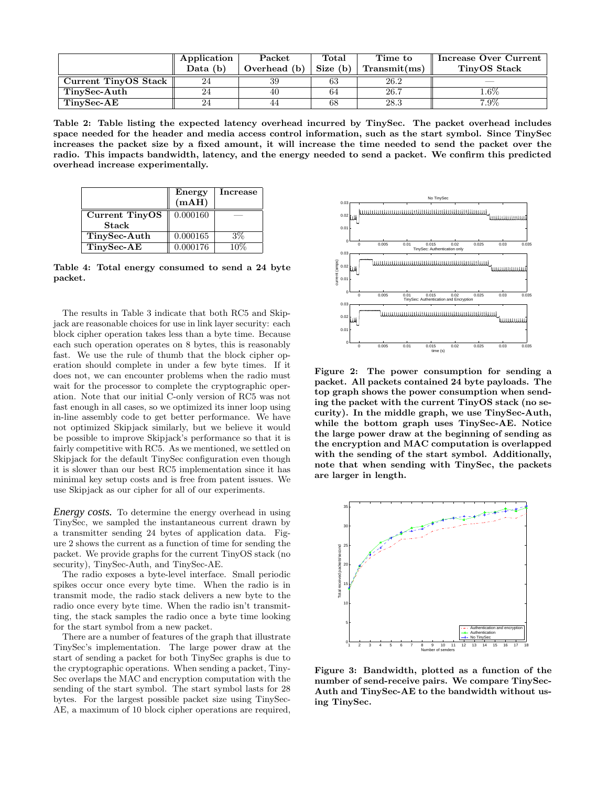|                      | Application<br>Data $(b)$ | Packet<br>Overhead (b) | Total<br>Size (b) | Time to<br>Transmit(ms) | Increase Over Current<br>TinyOS Stack |
|----------------------|---------------------------|------------------------|-------------------|-------------------------|---------------------------------------|
|                      |                           |                        |                   |                         |                                       |
| Current TinyOS Stack | 24                        |                        | 63                | 26.2                    |                                       |
| TinySec-Auth         | 24                        | 40                     | 64                | 26.7                    | $1.6\%$                               |
| $TinvSec-AE$         | 24                        | 44                     | 68                | 28.3                    | $7.9\%$                               |

Table 2: Table listing the expected latency overhead incurred by TinySec. The packet overhead includes space needed for the header and media access control information, such as the start symbol. Since TinySec increases the packet size by a fixed amount, it will increase the time needed to send the packet over the radio. This impacts bandwidth, latency, and the energy needed to send a packet. We confirm this predicted overhead increase experimentally.

|                            | <b>Energy</b><br>(mAH) | Increase |
|----------------------------|------------------------|----------|
| Current TinyOS $\parallel$ | 0.000160               |          |
| <b>Stack</b>               |                        |          |
| TinySec-Auth               | 0.000165               | 3%       |
| TinySec-AE                 | 0.000176               | 10\%     |

Table 4: Total energy consumed to send a 24 byte packet.

The results in Table 3 indicate that both RC5 and Skipjack are reasonable choices for use in link layer security: each block cipher operation takes less than a byte time. Because each such operation operates on 8 bytes, this is reasonably fast. We use the rule of thumb that the block cipher operation should complete in under a few byte times. If it does not, we can encounter problems when the radio must wait for the processor to complete the cryptographic operation. Note that our initial C-only version of RC5 was not fast enough in all cases, so we optimized its inner loop using in-line assembly code to get better performance. We have not optimized Skipjack similarly, but we believe it would be possible to improve Skipjack's performance so that it is fairly competitive with RC5. As we mentioned, we settled on Skipjack for the default TinySec configuration even though it is slower than our best RC5 implementation since it has minimal key setup costs and is free from patent issues. We use Skipjack as our cipher for all of our experiments.

*Energy costs.* To determine the energy overhead in using TinySec, we sampled the instantaneous current drawn by a transmitter sending 24 bytes of application data. Figure 2 shows the current as a function of time for sending the packet. We provide graphs for the current TinyOS stack (no security), TinySec-Auth, and TinySec-AE.

The radio exposes a byte-level interface. Small periodic spikes occur once every byte time. When the radio is in transmit mode, the radio stack delivers a new byte to the radio once every byte time. When the radio isn't transmitting, the stack samples the radio once a byte time looking for the start symbol from a new packet.

There are a number of features of the graph that illustrate TinySec's implementation. The large power draw at the start of sending a packet for both TinySec graphs is due to the cryptographic operations. When sending a packet, Tiny-Sec overlaps the MAC and encryption computation with the sending of the start symbol. The start symbol lasts for 28 bytes. For the largest possible packet size using TinySec-AE, a maximum of 10 block cipher operations are required,



Figure 2: The power consumption for sending a packet. All packets contained 24 byte payloads. The top graph shows the power consumption when sending the packet with the current TinyOS stack (no security). In the middle graph, we use TinySec-Auth, while the bottom graph uses TinySec-AE. Notice the large power draw at the beginning of sending as the encryption and MAC computation is overlapped with the sending of the start symbol. Additionally, note that when sending with TinySec, the packets are larger in length.



Figure 3: Bandwidth, plotted as a function of the number of send-receive pairs. We compare TinySec-Auth and TinySec-AE to the bandwidth without using TinySec.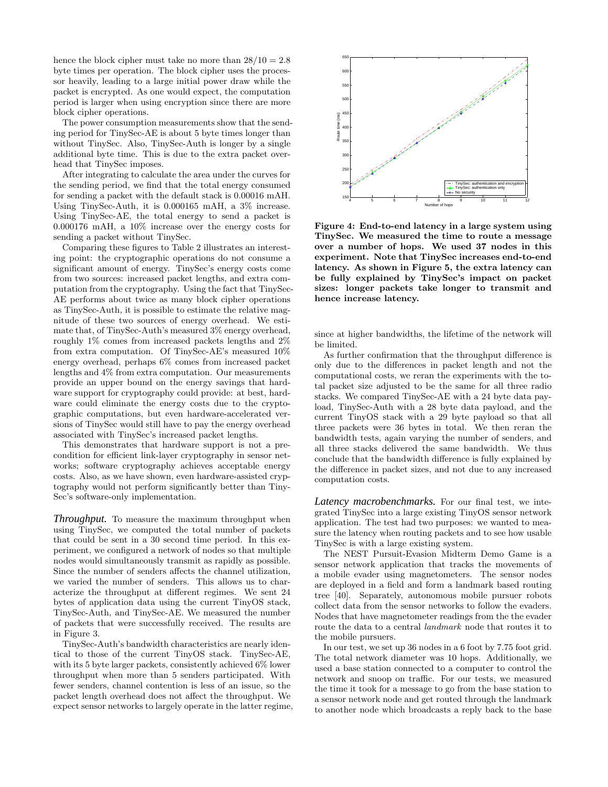hence the block cipher must take no more than  $28/10 = 2.8$ byte times per operation. The block cipher uses the processor heavily, leading to a large initial power draw while the packet is encrypted. As one would expect, the computation period is larger when using encryption since there are more block cipher operations.

The power consumption measurements show that the sending period for TinySec-AE is about 5 byte times longer than without TinySec. Also, TinySec-Auth is longer by a single additional byte time. This is due to the extra packet overhead that TinySec imposes.

After integrating to calculate the area under the curves for the sending period, we find that the total energy consumed for sending a packet with the default stack is 0.00016 mAH. Using TinySec-Auth, it is 0.000165 mAH, a 3% increase. Using TinySec-AE, the total energy to send a packet is 0.000176 mAH, a 10% increase over the energy costs for sending a packet without TinySec.

Comparing these figures to Table 2 illustrates an interesting point: the cryptographic operations do not consume a significant amount of energy. TinySec's energy costs come from two sources: increased packet lengths, and extra computation from the cryptography. Using the fact that TinySec-AE performs about twice as many block cipher operations as TinySec-Auth, it is possible to estimate the relative magnitude of these two sources of energy overhead. We estimate that, of TinySec-Auth's measured 3% energy overhead, roughly 1% comes from increased packets lengths and 2% from extra computation. Of TinySec-AE's measured 10% energy overhead, perhaps 6% comes from increased packet lengths and 4% from extra computation. Our measurements provide an upper bound on the energy savings that hardware support for cryptography could provide: at best, hardware could eliminate the energy costs due to the cryptographic computations, but even hardware-accelerated versions of TinySec would still have to pay the energy overhead associated with TinySec's increased packet lengths.

This demonstrates that hardware support is not a precondition for efficient link-layer cryptography in sensor networks; software cryptography achieves acceptable energy costs. Also, as we have shown, even hardware-assisted cryptography would not perform significantly better than Tiny-Sec's software-only implementation.

*Throughput.* To measure the maximum throughput when using TinySec, we computed the total number of packets that could be sent in a 30 second time period. In this experiment, we configured a network of nodes so that multiple nodes would simultaneously transmit as rapidly as possible. Since the number of senders affects the channel utilization, we varied the number of senders. This allows us to characterize the throughput at different regimes. We sent 24 bytes of application data using the current TinyOS stack, TinySec-Auth, and TinySec-AE. We measured the number of packets that were successfully received. The results are in Figure 3.

TinySec-Auth's bandwidth characteristics are nearly identical to those of the current TinyOS stack. TinySec-AE, with its 5 byte larger packets, consistently achieved 6% lower throughput when more than 5 senders participated. With fewer senders, channel contention is less of an issue, so the packet length overhead does not affect the throughput. We expect sensor networks to largely operate in the latter regime,



Figure 4: End-to-end latency in a large system using TinySec. We measured the time to route a message over a number of hops. We used 37 nodes in this experiment. Note that TinySec increases end-to-end latency. As shown in Figure 5, the extra latency can be fully explained by TinySec's impact on packet sizes: longer packets take longer to transmit and hence increase latency.

since at higher bandwidths, the lifetime of the network will be limited.

As further confirmation that the throughput difference is only due to the differences in packet length and not the computational costs, we reran the experiments with the total packet size adjusted to be the same for all three radio stacks. We compared TinySec-AE with a 24 byte data payload, TinySec-Auth with a 28 byte data payload, and the current TinyOS stack with a 29 byte payload so that all three packets were 36 bytes in total. We then reran the bandwidth tests, again varying the number of senders, and all three stacks delivered the same bandwidth. We thus conclude that the bandwidth difference is fully explained by the difference in packet sizes, and not due to any increased computation costs.

*Latency macrobenchmarks.* For our final test, we integrated TinySec into a large existing TinyOS sensor network application. The test had two purposes: we wanted to measure the latency when routing packets and to see how usable TinySec is with a large existing system.

The NEST Pursuit-Evasion Midterm Demo Game is a sensor network application that tracks the movements of a mobile evader using magnetometers. The sensor nodes are deployed in a field and form a landmark based routing tree [40]. Separately, autonomous mobile pursuer robots collect data from the sensor networks to follow the evaders. Nodes that have magnetometer readings from the the evader route the data to a central landmark node that routes it to the mobile pursuers.

In our test, we set up 36 nodes in a 6 foot by 7.75 foot grid. The total network diameter was 10 hops. Additionally, we used a base station connected to a computer to control the network and snoop on traffic. For our tests, we measured the time it took for a message to go from the base station to a sensor network node and get routed through the landmark to another node which broadcasts a reply back to the base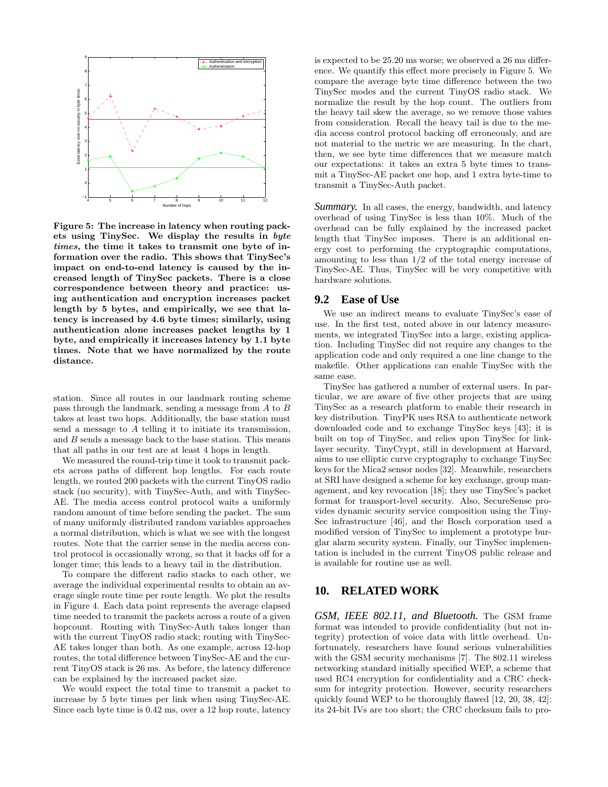

Figure 5: The increase in latency when routing packets using TinySec. We display the results in byte times, the time it takes to transmit one byte of information over the radio. This shows that TinySec's impact on end-to-end latency is caused by the increased length of TinySec packets. There is a close correspondence between theory and practice: using authentication and encryption increases packet length by 5 bytes, and empirically, we see that latency is increased by 4.6 byte times; similarly, using authentication alone increases packet lengths by 1 byte, and empirically it increases latency by 1.1 byte times. Note that we have normalized by the route distance.

station. Since all routes in our landmark routing scheme pass through the landmark, sending a message from A to B takes at least two hops. Additionally, the base station must send a message to A telling it to initiate its transmission, and B sends a message back to the base station. This means that all paths in our test are at least 4 hops in length.

We measured the round-trip time it took to transmit packets across paths of different hop lengths. For each route length, we routed 200 packets with the current TinyOS radio stack (no security), with TinySec-Auth, and with TinySec-AE. The media access control protocol waits a uniformly random amount of time before sending the packet. The sum of many uniformly distributed random variables approaches a normal distribution, which is what we see with the longest routes. Note that the carrier sense in the media access control protocol is occasionally wrong, so that it backs off for a longer time; this leads to a heavy tail in the distribution.

To compare the different radio stacks to each other, we average the individual experimental results to obtain an average single route time per route length. We plot the results in Figure 4. Each data point represents the average elapsed time needed to transmit the packets across a route of a given hopcount. Routing with TinySec-Auth takes longer than with the current TinyOS radio stack; routing with TinySec-AE takes longer than both. As one example, across 12-hop routes, the total difference between TinySec-AE and the current TinyOS stack is 26 ms. As before, the latency difference can be explained by the increased packet size.

We would expect the total time to transmit a packet to increase by 5 byte times per link when using TinySec-AE. Since each byte time is 0.42 ms, over a 12 hop route, latency

is expected to be 25.20 ms worse; we observed a 26 ms difference. We quantify this effect more precisely in Figure 5. We compare the average byte time difference between the two TinySec modes and the current TinyOS radio stack. We normalize the result by the hop count. The outliers from the heavy tail skew the average, so we remove those values from consideration. Recall the heavy tail is due to the media access control protocol backing off erroneously, and are not material to the metric we are measuring. In the chart, then, we see byte time differences that we measure match our expectations: it takes an extra 5 byte times to transmit a TinySec-AE packet one hop, and 1 extra byte-time to transmit a TinySec-Auth packet.

*Summary.* In all cases, the energy, bandwidth, and latency overhead of using TinySec is less than 10%. Much of the overhead can be fully explained by the increased packet length that TinySec imposes. There is an additional energy cost to performing the cryptographic computations, amounting to less than 1/2 of the total energy increase of TinySec-AE. Thus, TinySec will be very competitive with hardware solutions.

# **9.2 Ease of Use**

We use an indirect means to evaluate TinySec's ease of use. In the first test, noted above in our latency measurements, we integrated TinySec into a large, existing application. Including TinySec did not require any changes to the application code and only required a one line change to the makefile. Other applications can enable TinySec with the same ease.

TinySec has gathered a number of external users. In particular, we are aware of five other projects that are using TinySec as a research platform to enable their research in key distribution. TinyPK uses RSA to authenticate network downloaded code and to exchange TinySec keys [43]; it is built on top of TinySec, and relies upon TinySec for linklayer security. TinyCrypt, still in development at Harvard, aims to use elliptic curve cryptography to exchange TinySec keys for the Mica2 sensor nodes [32]. Meanwhile, researchers at SRI have designed a scheme for key exchange, group management, and key revocation [18]; they use TinySec's packet format for transport-level security. Also, SecureSense provides dynamic security service composition using the Tiny-Sec infrastructure [46], and the Bosch corporation used a modified version of TinySec to implement a prototype burglar alarm security system. Finally, our TinySec implementation is included in the current TinyOS public release and is available for routine use as well.

# **10. RELATED WORK**

*GSM, IEEE 802.11, and Bluetooth.* The GSM frame format was intended to provide confidentiality (but not integrity) protection of voice data with little overhead. Unfortunately, researchers have found serious vulnerabilities with the GSM security mechanisms [7]. The 802.11 wireless networking standard initially specified WEP, a scheme that used RC4 encryption for confidentiality and a CRC checksum for integrity protection. However, security researchers quickly found WEP to be thoroughly flawed [12, 20, 38, 42]: its 24-bit IVs are too short; the CRC checksum fails to pro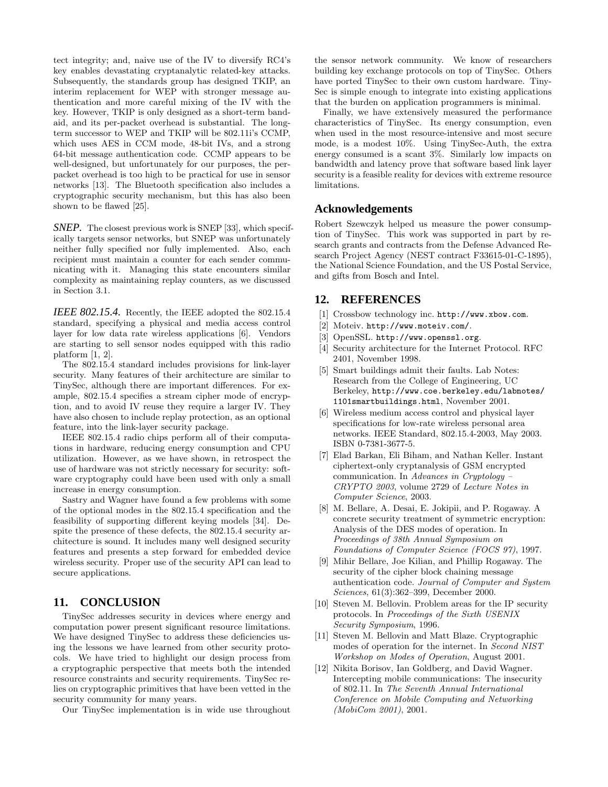tect integrity; and, naive use of the IV to diversify RC4's key enables devastating cryptanalytic related-key attacks. Subsequently, the standards group has designed TKIP, an interim replacement for WEP with stronger message authentication and more careful mixing of the IV with the key. However, TKIP is only designed as a short-term bandaid, and its per-packet overhead is substantial. The longterm successor to WEP and TKIP will be 802.11i's CCMP, which uses AES in CCM mode, 48-bit IVs, and a strong 64-bit message authentication code. CCMP appears to be well-designed, but unfortunately for our purposes, the perpacket overhead is too high to be practical for use in sensor networks [13]. The Bluetooth specification also includes a cryptographic security mechanism, but this has also been shown to be flawed [25].

*SNEP.* The closest previous work is SNEP [33], which specifically targets sensor networks, but SNEP was unfortunately neither fully specified nor fully implemented. Also, each recipient must maintain a counter for each sender communicating with it. Managing this state encounters similar complexity as maintaining replay counters, as we discussed in Section 3.1.

*IEEE 802.15.4.* Recently, the IEEE adopted the 802.15.4 standard, specifying a physical and media access control layer for low data rate wireless applications [6]. Vendors are starting to sell sensor nodes equipped with this radio platform [1, 2].

The 802.15.4 standard includes provisions for link-layer security. Many features of their architecture are similar to TinySec, although there are important differences. For example, 802.15.4 specifies a stream cipher mode of encryption, and to avoid IV reuse they require a larger IV. They have also chosen to include replay protection, as an optional feature, into the link-layer security package.

IEEE 802.15.4 radio chips perform all of their computations in hardware, reducing energy consumption and CPU utilization. However, as we have shown, in retrospect the use of hardware was not strictly necessary for security: software cryptography could have been used with only a small increase in energy consumption.

Sastry and Wagner have found a few problems with some of the optional modes in the 802.15.4 specification and the feasibility of supporting different keying models [34]. Despite the presence of these defects, the 802.15.4 security architecture is sound. It includes many well designed security features and presents a step forward for embedded device wireless security. Proper use of the security API can lead to secure applications.

#### **11. CONCLUSION**

TinySec addresses security in devices where energy and computation power present significant resource limitations. We have designed TinySec to address these deficiencies using the lessons we have learned from other security protocols. We have tried to highlight our design process from a cryptographic perspective that meets both the intended resource constraints and security requirements. TinySec relies on cryptographic primitives that have been vetted in the security community for many years.

Our TinySec implementation is in wide use throughout

the sensor network community. We know of researchers building key exchange protocols on top of TinySec. Others have ported TinySec to their own custom hardware. Tiny-Sec is simple enough to integrate into existing applications that the burden on application programmers is minimal.

Finally, we have extensively measured the performance characteristics of TinySec. Its energy consumption, even when used in the most resource-intensive and most secure mode, is a modest 10%. Using TinySec-Auth, the extra energy consumed is a scant 3%. Similarly low impacts on bandwidth and latency prove that software based link layer security is a feasible reality for devices with extreme resource limitations.

#### **Acknowledgements**

Robert Szewczyk helped us measure the power consumption of TinySec. This work was supported in part by research grants and contracts from the Defense Advanced Research Project Agency (NEST contract F33615-01-C-1895), the National Science Foundation, and the US Postal Service, and gifts from Bosch and Intel.

### **12. REFERENCES**

- [1] Crossbow technology inc. http://www.xbow.com.
- [2] Moteiv. http://www.moteiv.com/.
- [3] OpenSSL. http://www.openssl.org.
- [4] Security architecture for the Internet Protocol. RFC 2401, November 1998.
- [5] Smart buildings admit their faults. Lab Notes: Research from the College of Engineering, UC Berkeley, http://www.coe.berkeley.edu/labnotes/ 1101smartbuildings.html, November 2001.
- [6] Wireless medium access control and physical layer specifications for low-rate wireless personal area networks. IEEE Standard, 802.15.4-2003, May 2003. ISBN 0-7381-3677-5.
- [7] Elad Barkan, Eli Biham, and Nathan Keller. Instant ciphertext-only cryptanalysis of GSM encrypted communication. In Advances in Cryptology – CRYPTO 2003, volume 2729 of Lecture Notes in Computer Science, 2003.
- [8] M. Bellare, A. Desai, E. Jokipii, and P. Rogaway. A concrete security treatment of symmetric encryption: Analysis of the DES modes of operation. In Proceedings of 38th Annual Symposium on Foundations of Computer Science (FOCS 97), 1997.
- [9] Mihir Bellare, Joe Kilian, and Phillip Rogaway. The security of the cipher block chaining message authentication code. Journal of Computer and System Sciences, 61(3):362–399, December 2000.
- [10] Steven M. Bellovin. Problem areas for the IP security protocols. In Proceedings of the Sixth USENIX Security Symposium, 1996.
- [11] Steven M. Bellovin and Matt Blaze. Cryptographic modes of operation for the internet. In Second NIST Workshop on Modes of Operation, August 2001.
- [12] Nikita Borisov, Ian Goldberg, and David Wagner. Intercepting mobile communications: The insecurity of 802.11. In The Seventh Annual International Conference on Mobile Computing and Networking (MobiCom 2001), 2001.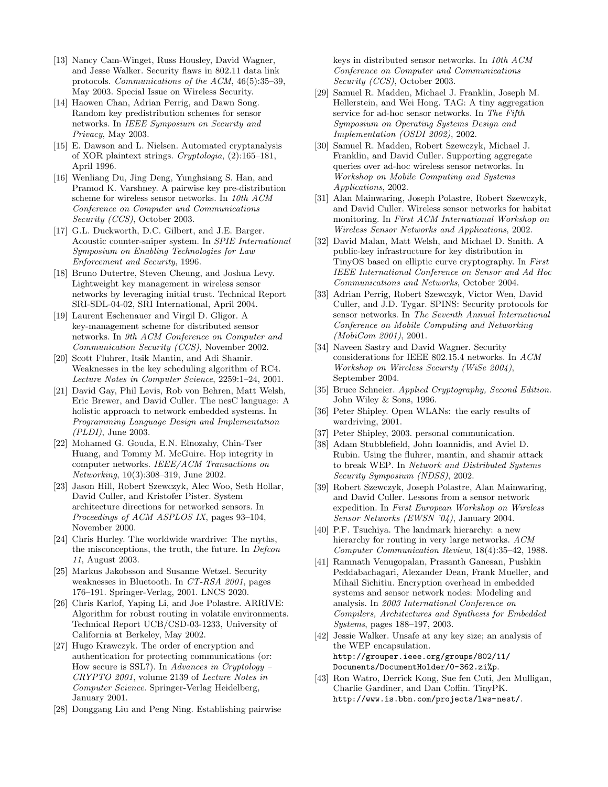- [13] Nancy Cam-Winget, Russ Housley, David Wagner, and Jesse Walker. Security flaws in 802.11 data link protocols. Communications of the ACM, 46(5):35–39, May 2003. Special Issue on Wireless Security.
- [14] Haowen Chan, Adrian Perrig, and Dawn Song. Random key predistribution schemes for sensor networks. In IEEE Symposium on Security and Privacy, May 2003.
- [15] E. Dawson and L. Nielsen. Automated cryptanalysis of XOR plaintext strings. Cryptologia, (2):165–181, April 1996.
- [16] Wenliang Du, Jing Deng, Yunghsiang S. Han, and Pramod K. Varshney. A pairwise key pre-distribution scheme for wireless sensor networks. In 10th ACM Conference on Computer and Communications Security (CCS), October 2003.
- [17] G.L. Duckworth, D.C. Gilbert, and J.E. Barger. Acoustic counter-sniper system. In SPIE International Symposium on Enabling Technologies for Law Enforcement and Security, 1996.
- [18] Bruno Dutertre, Steven Cheung, and Joshua Levy. Lightweight key management in wireless sensor networks by leveraging initial trust. Technical Report SRI-SDL-04-02, SRI International, April 2004.
- [19] Laurent Eschenauer and Virgil D. Gligor. A key-management scheme for distributed sensor networks. In 9th ACM Conference on Computer and Communication Security (CCS), November 2002.
- [20] Scott Fluhrer, Itsik Mantin, and Adi Shamir. Weaknesses in the key scheduling algorithm of RC4. Lecture Notes in Computer Science, 2259:1–24, 2001.
- [21] David Gay, Phil Levis, Rob von Behren, Matt Welsh, Eric Brewer, and David Culler. The nesC language: A holistic approach to network embedded systems. In Programming Language Design and Implementation (PLDI), June 2003.
- [22] Mohamed G. Gouda, E.N. Elnozahy, Chin-Tser Huang, and Tommy M. McGuire. Hop integrity in computer networks. IEEE/ACM Transactions on Networking, 10(3):308–319, June 2002.
- [23] Jason Hill, Robert Szewczyk, Alec Woo, Seth Hollar, David Culler, and Kristofer Pister. System architecture directions for networked sensors. In Proceedings of ACM ASPLOS IX, pages 93–104, November 2000.
- [24] Chris Hurley. The worldwide wardrive: The myths, the misconceptions, the truth, the future. In Defcon 11, August 2003.
- [25] Markus Jakobsson and Susanne Wetzel. Security weaknesses in Bluetooth. In CT-RSA 2001, pages 176–191. Springer-Verlag, 2001. LNCS 2020.
- [26] Chris Karlof, Yaping Li, and Joe Polastre. ARRIVE: Algorithm for robust routing in volatile environments. Technical Report UCB/CSD-03-1233, University of California at Berkeley, May 2002.
- [27] Hugo Krawczyk. The order of encryption and authentication for protecting communications (or: How secure is SSL?). In Advances in Cryptology – CRYPTO 2001, volume 2139 of Lecture Notes in Computer Science. Springer-Verlag Heidelberg, January 2001.
- [28] Donggang Liu and Peng Ning. Establishing pairwise

keys in distributed sensor networks. In 10th ACM Conference on Computer and Communications Security (CCS), October 2003.

- [29] Samuel R. Madden, Michael J. Franklin, Joseph M. Hellerstein, and Wei Hong. TAG: A tiny aggregation service for ad-hoc sensor networks. In The Fifth Symposium on Operating Systems Design and Implementation (OSDI 2002), 2002.
- [30] Samuel R. Madden, Robert Szewczyk, Michael J. Franklin, and David Culler. Supporting aggregate queries over ad-hoc wireless sensor networks. In Workshop on Mobile Computing and Systems Applications, 2002.
- [31] Alan Mainwaring, Joseph Polastre, Robert Szewczyk, and David Culler. Wireless sensor networks for habitat monitoring. In First ACM International Workshop on Wireless Sensor Networks and Applications, 2002.
- [32] David Malan, Matt Welsh, and Michael D. Smith. A public-key infrastructure for key distribution in TinyOS based on elliptic curve cryptography. In First IEEE International Conference on Sensor and Ad Hoc Communications and Networks, October 2004.
- [33] Adrian Perrig, Robert Szewczyk, Victor Wen, David Culler, and J.D. Tygar. SPINS: Security protocols for sensor networks. In The Seventh Annual International Conference on Mobile Computing and Networking (MobiCom 2001), 2001.
- [34] Naveen Sastry and David Wagner. Security considerations for IEEE 802.15.4 networks. In ACM Workshop on Wireless Security (WiSe 2004), September 2004.
- [35] Bruce Schneier. Applied Cryptography, Second Edition. John Wiley & Sons, 1996.
- [36] Peter Shipley. Open WLANs: the early results of wardriving, 2001.
- [37] Peter Shipley, 2003. personal communication.
- [38] Adam Stubblefield, John Ioannidis, and Aviel D. Rubin. Using the fluhrer, mantin, and shamir attack to break WEP. In Network and Distributed Systems Security Symposium (NDSS), 2002.
- [39] Robert Szewczyk, Joseph Polastre, Alan Mainwaring, and David Culler. Lessons from a sensor network expedition. In First European Workshop on Wireless Sensor Networks (EWSN '04), January 2004.
- [40] P.F. Tsuchiya. The landmark hierarchy: a new hierarchy for routing in very large networks. ACM Computer Communication Review, 18(4):35–42, 1988.
- [41] Ramnath Venugopalan, Prasanth Ganesan, Pushkin Peddabachagari, Alexander Dean, Frank Mueller, and Mihail Sichitiu. Encryption overhead in embedded systems and sensor network nodes: Modeling and analysis. In 2003 International Conference on Compilers, Architectures and Synthesis for Embedded Systems, pages 188–197, 2003.
- [42] Jessie Walker. Unsafe at any key size; an analysis of the WEP encapsulation. http://grouper.ieee.org/groups/802/11/ Documents/DocumentHolder/0-362.zi%p.
- [43] Ron Watro, Derrick Kong, Sue fen Cuti, Jen Mulligan, Charlie Gardiner, and Dan Coffin. TinyPK. http://www.is.bbn.com/projects/lws-nest/.